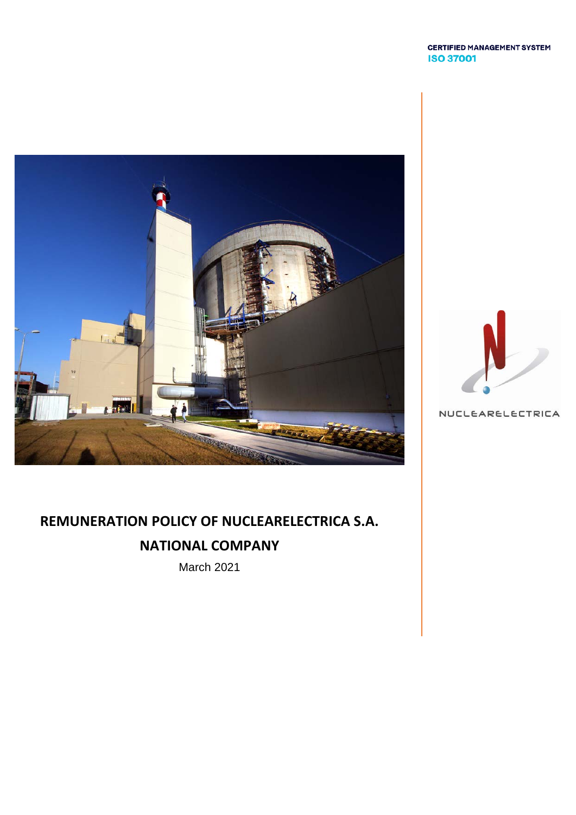#### **CERTIFIED MANAGEMENT SYSTEM ISO 37001**





NUCLEARELECTRICA

# **REMUNERATION POLICY OF NUCLEARELECTRICA S.A.**

## **NATIONAL COMPANY**

March 2021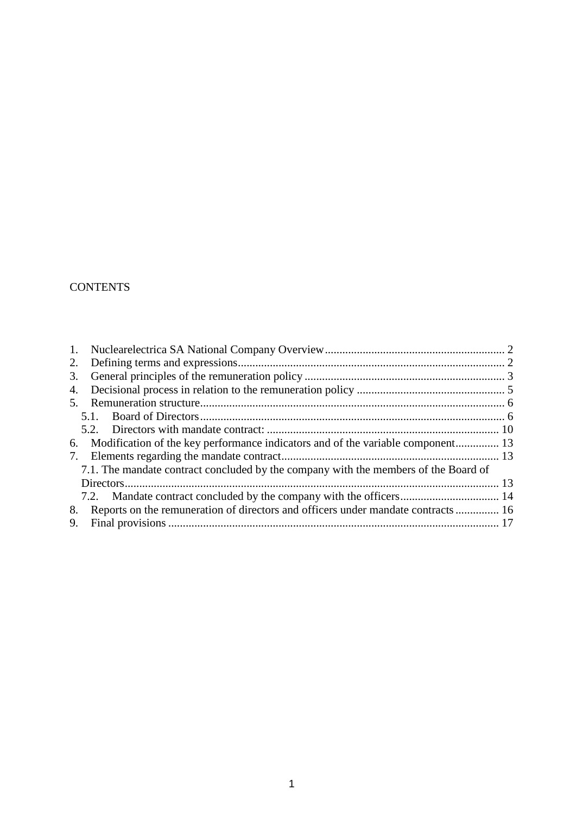## **CONTENTS**

| 2. |                                                                                     |  |  |
|----|-------------------------------------------------------------------------------------|--|--|
| 3. |                                                                                     |  |  |
| 4. |                                                                                     |  |  |
| 5. |                                                                                     |  |  |
|    |                                                                                     |  |  |
|    |                                                                                     |  |  |
|    | 6. Modification of the key performance indicators and of the variable component 13  |  |  |
|    |                                                                                     |  |  |
|    | 7.1. The mandate contract concluded by the company with the members of the Board of |  |  |
|    |                                                                                     |  |  |
|    |                                                                                     |  |  |
| 8. | Reports on the remuneration of directors and officers under mandate contracts  16   |  |  |
| 9. |                                                                                     |  |  |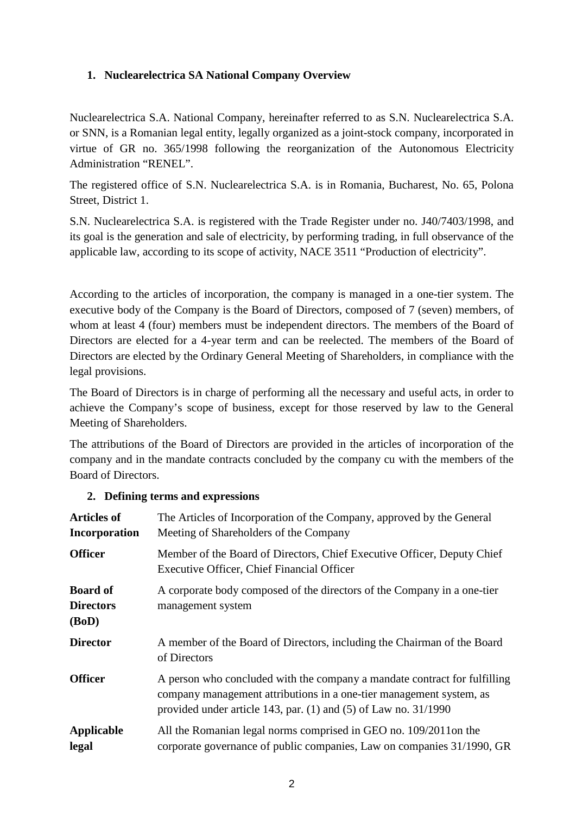### <span id="page-2-0"></span>**1. Nuclearelectrica SA National Company Overview**

Nuclearelectrica S.A. National Company, hereinafter referred to as S.N. Nuclearelectrica S.A. or SNN, is a Romanian legal entity, legally organized as a joint-stock company, incorporated in virtue of GR no. 365/1998 following the reorganization of the Autonomous Electricity Administration "RENEL".

The registered office of S.N. Nuclearelectrica S.A. is in Romania, Bucharest, No. 65, Polona Street, District 1.

S.N. Nuclearelectrica S.A. is registered with the Trade Register under no. J40/7403/1998, and its goal is the generation and sale of electricity, by performing trading, in full observance of the applicable law, according to its scope of activity, NACE 3511 "Production of electricity".

According to the articles of incorporation, the company is managed in a one-tier system. The executive body of the Company is the Board of Directors, composed of 7 (seven) members, of whom at least 4 (four) members must be independent directors. The members of the Board of Directors are elected for a 4-year term and can be reelected. The members of the Board of Directors are elected by the Ordinary General Meeting of Shareholders, in compliance with the legal provisions.

The Board of Directors is in charge of performing all the necessary and useful acts, in order to achieve the Company's scope of business, except for those reserved by law to the General Meeting of Shareholders.

The attributions of the Board of Directors are provided in the articles of incorporation of the company and in the mandate contracts concluded by the company cu with the members of the Board of Directors.

#### <span id="page-2-1"></span>**2. Defining terms and expressions**

| <b>Articles of</b><br><b>Incorporation</b>   | The Articles of Incorporation of the Company, approved by the General<br>Meeting of Shareholders of the Company                                                                                                         |
|----------------------------------------------|-------------------------------------------------------------------------------------------------------------------------------------------------------------------------------------------------------------------------|
| <b>Officer</b>                               | Member of the Board of Directors, Chief Executive Officer, Deputy Chief<br>Executive Officer, Chief Financial Officer                                                                                                   |
| <b>Board of</b><br><b>Directors</b><br>(BoD) | A corporate body composed of the directors of the Company in a one-tier<br>management system                                                                                                                            |
| <b>Director</b>                              | A member of the Board of Directors, including the Chairman of the Board<br>of Directors                                                                                                                                 |
| <b>Officer</b>                               | A person who concluded with the company a mandate contract for fulfilling<br>company management attributions in a one-tier management system, as<br>provided under article 143, par. $(1)$ and $(5)$ of Law no. 31/1990 |
| <b>Applicable</b><br>legal                   | All the Romanian legal norms comprised in GEO no. 109/2011on the<br>corporate governance of public companies, Law on companies 31/1990, GR                                                                              |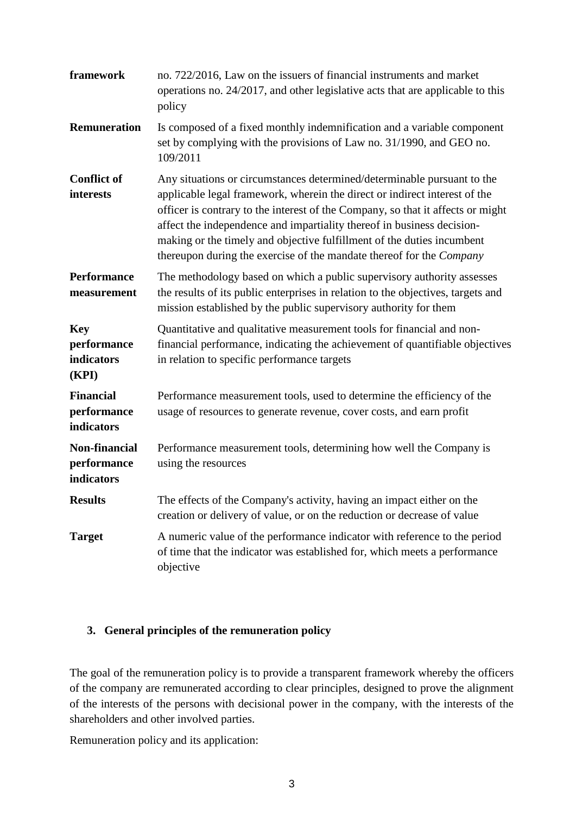| framework                                        | no. 722/2016, Law on the issuers of financial instruments and market<br>operations no. 24/2017, and other legislative acts that are applicable to this<br>policy                                                                                                                                                                                                                                                                                                     |  |  |
|--------------------------------------------------|----------------------------------------------------------------------------------------------------------------------------------------------------------------------------------------------------------------------------------------------------------------------------------------------------------------------------------------------------------------------------------------------------------------------------------------------------------------------|--|--|
| <b>Remuneration</b>                              | Is composed of a fixed monthly indemnification and a variable component<br>set by complying with the provisions of Law no. 31/1990, and GEO no.<br>109/2011                                                                                                                                                                                                                                                                                                          |  |  |
| <b>Conflict of</b><br>interests                  | Any situations or circumstances determined/determinable pursuant to the<br>applicable legal framework, wherein the direct or indirect interest of the<br>officer is contrary to the interest of the Company, so that it affects or might<br>affect the independence and impartiality thereof in business decision-<br>making or the timely and objective fulfillment of the duties incumbent<br>thereupon during the exercise of the mandate thereof for the Company |  |  |
| <b>Performance</b><br>measurement                | The methodology based on which a public supervisory authority assesses<br>the results of its public enterprises in relation to the objectives, targets and<br>mission established by the public supervisory authority for them                                                                                                                                                                                                                                       |  |  |
| <b>Key</b><br>performance<br>indicators<br>(KPI) | Quantitative and qualitative measurement tools for financial and non-<br>financial performance, indicating the achievement of quantifiable objectives<br>in relation to specific performance targets                                                                                                                                                                                                                                                                 |  |  |
| <b>Financial</b><br>performance<br>indicators    | Performance measurement tools, used to determine the efficiency of the<br>usage of resources to generate revenue, cover costs, and earn profit                                                                                                                                                                                                                                                                                                                       |  |  |
| Non-financial<br>performance<br>indicators       | Performance measurement tools, determining how well the Company is<br>using the resources                                                                                                                                                                                                                                                                                                                                                                            |  |  |
| <b>Results</b>                                   | The effects of the Company's activity, having an impact either on the<br>creation or delivery of value, or on the reduction or decrease of value                                                                                                                                                                                                                                                                                                                     |  |  |
| <b>Target</b>                                    | A numeric value of the performance indicator with reference to the period<br>of time that the indicator was established for, which meets a performance<br>objective                                                                                                                                                                                                                                                                                                  |  |  |

#### <span id="page-3-0"></span>**3. General principles of the remuneration policy**

The goal of the remuneration policy is to provide a transparent framework whereby the officers of the company are remunerated according to clear principles, designed to prove the alignment of the interests of the persons with decisional power in the company, with the interests of the shareholders and other involved parties.

Remuneration policy and its application: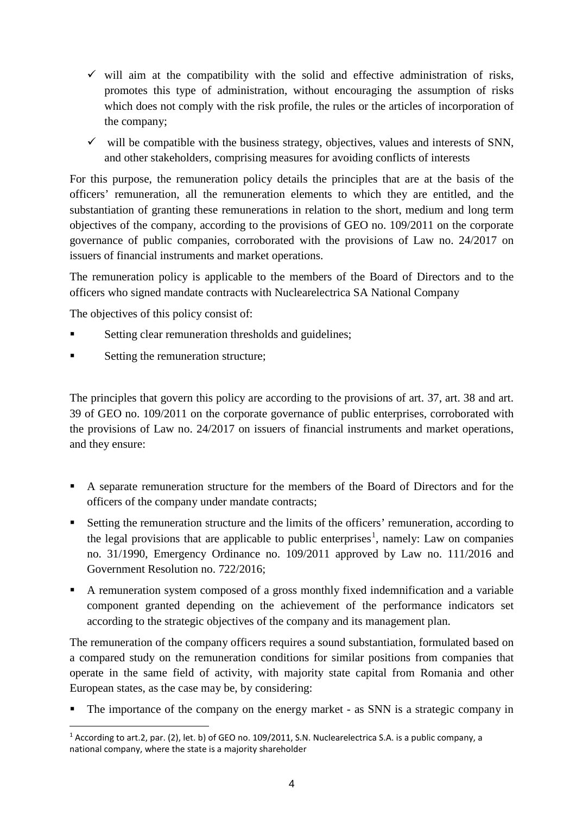- $\checkmark$  will aim at the compatibility with the solid and effective administration of risks, promotes this type of administration, without encouraging the assumption of risks which does not comply with the risk profile, the rules or the articles of incorporation of the company;
- $\checkmark$  will be compatible with the business strategy, objectives, values and interests of SNN, and other stakeholders, comprising measures for avoiding conflicts of interests

For this purpose, the remuneration policy details the principles that are at the basis of the officers' remuneration, all the remuneration elements to which they are entitled, and the substantiation of granting these remunerations in relation to the short, medium and long term objectives of the company, according to the provisions of GEO no. 109/2011 on the corporate governance of public companies, corroborated with the provisions of Law no. 24/2017 on issuers of financial instruments and market operations.

The remuneration policy is applicable to the members of the Board of Directors and to the officers who signed mandate contracts with Nuclearelectrica SA National Company

The objectives of this policy consist of:

- Setting clear remuneration thresholds and guidelines;
- Setting the remuneration structure;

The principles that govern this policy are according to the provisions of art. 37, art. 38 and art. 39 of GEO no. 109/2011 on the corporate governance of public enterprises, corroborated with the provisions of Law no. 24/2017 on issuers of financial instruments and market operations, and they ensure:

- A separate remuneration structure for the members of the Board of Directors and for the officers of the company under mandate contracts;
- Setting the remuneration structure and the limits of the officers' remuneration, according to the legal provisions that are applicable to public enterprises<sup>[1](#page-4-0)</sup>, namely: Law on companies no. 31/1990, Emergency Ordinance no. 109/2011 approved by Law no. 111/2016 and Government Resolution no. 722/2016;
- A remuneration system composed of a gross monthly fixed indemnification and a variable component granted depending on the achievement of the performance indicators set according to the strategic objectives of the company and its management plan.

The remuneration of the company officers requires a sound substantiation, formulated based on a compared study on the remuneration conditions for similar positions from companies that operate in the same field of activity, with majority state capital from Romania and other European states, as the case may be, by considering:

• The importance of the company on the energy market - as SNN is a strategic company in

<span id="page-4-0"></span><sup>-</sup><sup>1</sup> According to art.2, par. (2), let. b) of GEO no. 109/2011, S.N. Nuclearelectrica S.A. is a public company, a national company, where the state is a majority shareholder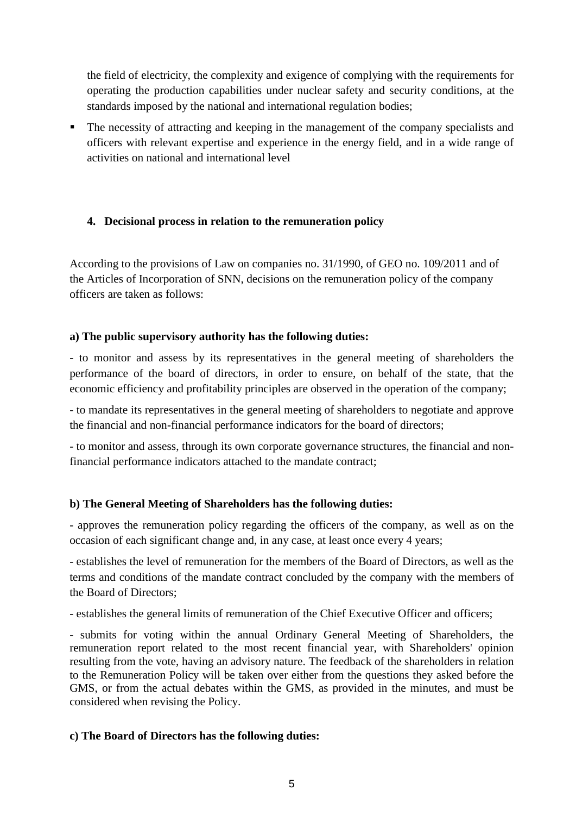the field of electricity, the complexity and exigence of complying with the requirements for operating the production capabilities under nuclear safety and security conditions, at the standards imposed by the national and international regulation bodies;

• The necessity of attracting and keeping in the management of the company specialists and officers with relevant expertise and experience in the energy field, and in a wide range of activities on national and international level

### <span id="page-5-0"></span>**4. Decisional process in relation to the remuneration policy**

According to the provisions of Law on companies no. 31/1990, of GEO no. 109/2011 and of the Articles of Incorporation of SNN, decisions on the remuneration policy of the company officers are taken as follows:

#### **a) The public supervisory authority has the following duties:**

- to monitor and assess by its representatives in the general meeting of shareholders the performance of the board of directors, in order to ensure, on behalf of the state, that the economic efficiency and profitability principles are observed in the operation of the company;

- to mandate its representatives in the general meeting of shareholders to negotiate and approve the financial and non-financial performance indicators for the board of directors;

- to monitor and assess, through its own corporate governance structures, the financial and nonfinancial performance indicators attached to the mandate contract;

#### **b) The General Meeting of Shareholders has the following duties:**

- approves the remuneration policy regarding the officers of the company, as well as on the occasion of each significant change and, in any case, at least once every 4 years;

- establishes the level of remuneration for the members of the Board of Directors, as well as the terms and conditions of the mandate contract concluded by the company with the members of the Board of Directors;

- establishes the general limits of remuneration of the Chief Executive Officer and officers;

- submits for voting within the annual Ordinary General Meeting of Shareholders, the remuneration report related to the most recent financial year, with Shareholders' opinion resulting from the vote, having an advisory nature. The feedback of the shareholders in relation to the Remuneration Policy will be taken over either from the questions they asked before the GMS, or from the actual debates within the GMS, as provided in the minutes, and must be considered when revising the Policy.

#### **c) The Board of Directors has the following duties:**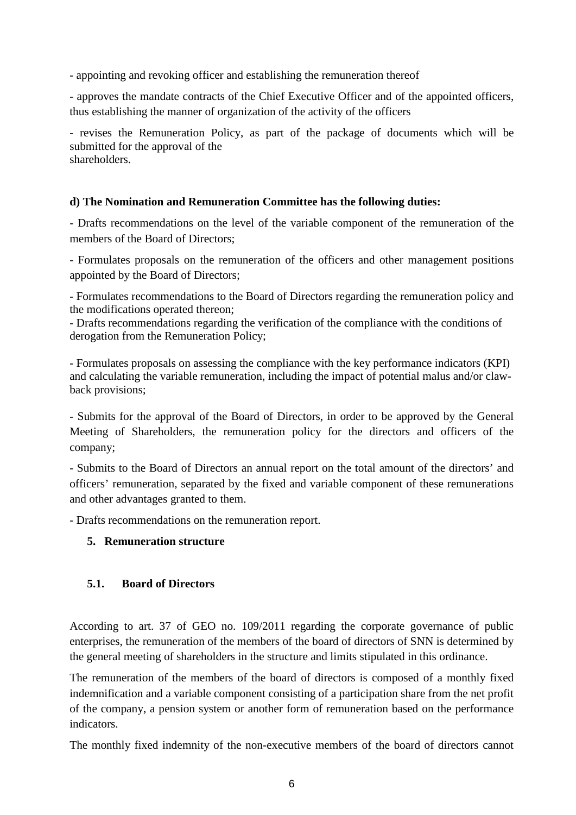- appointing and revoking officer and establishing the remuneration thereof

- approves the mandate contracts of the Chief Executive Officer and of the appointed officers, thus establishing the manner of organization of the activity of the officers

- revises the Remuneration Policy, as part of the package of documents which will be submitted for the approval of the shareholders.

#### **d) The Nomination and Remuneration Committee has the following duties:**

- Drafts recommendations on the level of the variable component of the remuneration of the members of the Board of Directors;

- Formulates proposals on the remuneration of the officers and other management positions appointed by the Board of Directors;

- Formulates recommendations to the Board of Directors regarding the remuneration policy and the modifications operated thereon;

- Drafts recommendations regarding the verification of the compliance with the conditions of derogation from the Remuneration Policy;

- Formulates proposals on assessing the compliance with the key performance indicators (KPI) and calculating the variable remuneration, including the impact of potential malus and/or clawback provisions;

- Submits for the approval of the Board of Directors, in order to be approved by the General Meeting of Shareholders, the remuneration policy for the directors and officers of the company;

- Submits to the Board of Directors an annual report on the total amount of the directors' and officers' remuneration, separated by the fixed and variable component of these remunerations and other advantages granted to them.

- Drafts recommendations on the remuneration report.

#### <span id="page-6-0"></span>**5. Remuneration structure**

#### <span id="page-6-1"></span>**5.1. Board of Directors**

According to art. 37 of GEO no. 109/2011 regarding the corporate governance of public enterprises, the remuneration of the members of the board of directors of SNN is determined by the general meeting of shareholders in the structure and limits stipulated in this ordinance.

The remuneration of the members of the board of directors is composed of a monthly fixed indemnification and a variable component consisting of a participation share from the net profit of the company, a pension system or another form of remuneration based on the performance indicators.

The monthly fixed indemnity of the non-executive members of the board of directors cannot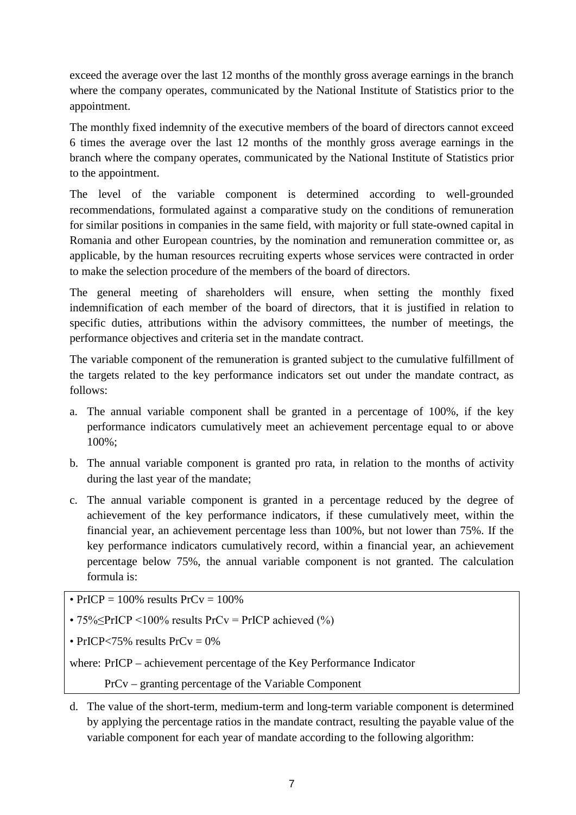exceed the average over the last 12 months of the monthly gross average earnings in the branch where the company operates, communicated by the National Institute of Statistics prior to the appointment.

The monthly fixed indemnity of the executive members of the board of directors cannot exceed 6 times the average over the last 12 months of the monthly gross average earnings in the branch where the company operates, communicated by the National Institute of Statistics prior to the appointment.

The level of the variable component is determined according to well-grounded recommendations, formulated against a comparative study on the conditions of remuneration for similar positions in companies in the same field, with majority or full state-owned capital in Romania and other European countries, by the nomination and remuneration committee or, as applicable, by the human resources recruiting experts whose services were contracted in order to make the selection procedure of the members of the board of directors.

The general meeting of shareholders will ensure, when setting the monthly fixed indemnification of each member of the board of directors, that it is justified in relation to specific duties, attributions within the advisory committees, the number of meetings, the performance objectives and criteria set in the mandate contract.

The variable component of the remuneration is granted subject to the cumulative fulfillment of the targets related to the key performance indicators set out under the mandate contract, as follows:

- a. The annual variable component shall be granted in a percentage of 100%, if the key performance indicators cumulatively meet an achievement percentage equal to or above 100%;
- b. The annual variable component is granted pro rata, in relation to the months of activity during the last year of the mandate;
- c. The annual variable component is granted in a percentage reduced by the degree of achievement of the key performance indicators, if these cumulatively meet, within the financial year, an achievement percentage less than 100%, but not lower than 75%. If the key performance indicators cumulatively record, within a financial year, an achievement percentage below 75%, the annual variable component is not granted. The calculation formula is:

• PrICP =  $100\%$  results PrCv =  $100\%$ 

•  $75\%$ SPrICP <100% results PrCv = PrICP achieved (%)

• PrICP $< 75\%$  results PrCy = 0%

where: PrICP – achievement percentage of the Key Performance Indicator

PrCv – granting percentage of the Variable Component

d. The value of the short-term, medium-term and long-term variable component is determined by applying the percentage ratios in the mandate contract, resulting the payable value of the variable component for each year of mandate according to the following algorithm: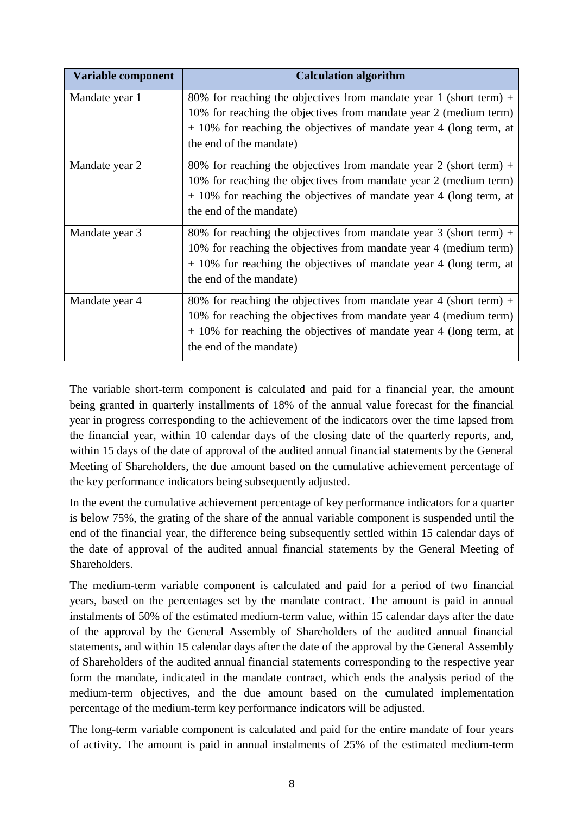| Variable component | <b>Calculation algorithm</b>                                                                                                                                                                                                                 |
|--------------------|----------------------------------------------------------------------------------------------------------------------------------------------------------------------------------------------------------------------------------------------|
| Mandate year 1     | 80% for reaching the objectives from mandate year 1 (short term) +<br>10% for reaching the objectives from mandate year 2 (medium term)<br>$+10\%$ for reaching the objectives of mandate year 4 (long term, at<br>the end of the mandate)   |
| Mandate year 2     | 80% for reaching the objectives from mandate year 2 (short term) +<br>10% for reaching the objectives from mandate year 2 (medium term)<br>$+10\%$ for reaching the objectives of mandate year 4 (long term, at<br>the end of the mandate)   |
| Mandate year 3     | 80% for reaching the objectives from mandate year $3$ (short term) +<br>10% for reaching the objectives from mandate year 4 (medium term)<br>$+10\%$ for reaching the objectives of mandate year 4 (long term, at<br>the end of the mandate) |
| Mandate year 4     | 80% for reaching the objectives from mandate year 4 (short term) +<br>10% for reaching the objectives from mandate year 4 (medium term)<br>$+ 10\%$ for reaching the objectives of mandate year 4 (long term, at<br>the end of the mandate)  |

The variable short-term component is calculated and paid for a financial year, the amount being granted in quarterly installments of 18% of the annual value forecast for the financial year in progress corresponding to the achievement of the indicators over the time lapsed from the financial year, within 10 calendar days of the closing date of the quarterly reports, and, within 15 days of the date of approval of the audited annual financial statements by the General Meeting of Shareholders, the due amount based on the cumulative achievement percentage of the key performance indicators being subsequently adjusted.

In the event the cumulative achievement percentage of key performance indicators for a quarter is below 75%, the grating of the share of the annual variable component is suspended until the end of the financial year, the difference being subsequently settled within 15 calendar days of the date of approval of the audited annual financial statements by the General Meeting of Shareholders.

The medium-term variable component is calculated and paid for a period of two financial years, based on the percentages set by the mandate contract. The amount is paid in annual instalments of 50% of the estimated medium-term value, within 15 calendar days after the date of the approval by the General Assembly of Shareholders of the audited annual financial statements, and within 15 calendar days after the date of the approval by the General Assembly of Shareholders of the audited annual financial statements corresponding to the respective year form the mandate, indicated in the mandate contract, which ends the analysis period of the medium-term objectives, and the due amount based on the cumulated implementation percentage of the medium-term key performance indicators will be adjusted.

The long-term variable component is calculated and paid for the entire mandate of four years of activity. The amount is paid in annual instalments of 25% of the estimated medium-term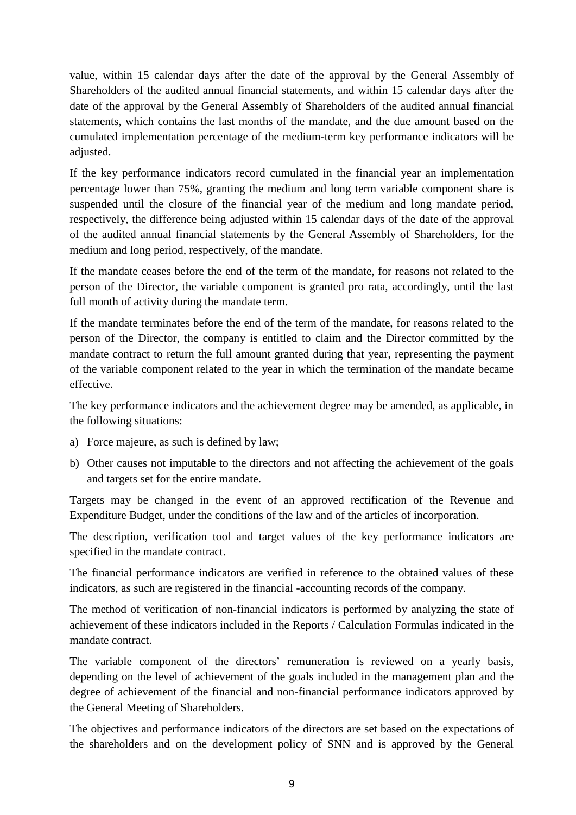value, within 15 calendar days after the date of the approval by the General Assembly of Shareholders of the audited annual financial statements, and within 15 calendar days after the date of the approval by the General Assembly of Shareholders of the audited annual financial statements, which contains the last months of the mandate, and the due amount based on the cumulated implementation percentage of the medium-term key performance indicators will be adjusted.

If the key performance indicators record cumulated in the financial year an implementation percentage lower than 75%, granting the medium and long term variable component share is suspended until the closure of the financial year of the medium and long mandate period, respectively, the difference being adjusted within 15 calendar days of the date of the approval of the audited annual financial statements by the General Assembly of Shareholders, for the medium and long period, respectively, of the mandate.

If the mandate ceases before the end of the term of the mandate, for reasons not related to the person of the Director, the variable component is granted pro rata, accordingly, until the last full month of activity during the mandate term.

If the mandate terminates before the end of the term of the mandate, for reasons related to the person of the Director, the company is entitled to claim and the Director committed by the mandate contract to return the full amount granted during that year, representing the payment of the variable component related to the year in which the termination of the mandate became effective.

The key performance indicators and the achievement degree may be amended, as applicable, in the following situations:

- a) Force majeure, as such is defined by law;
- b) Other causes not imputable to the directors and not affecting the achievement of the goals and targets set for the entire mandate.

Targets may be changed in the event of an approved rectification of the Revenue and Expenditure Budget, under the conditions of the law and of the articles of incorporation.

The description, verification tool and target values of the key performance indicators are specified in the mandate contract.

The financial performance indicators are verified in reference to the obtained values of these indicators, as such are registered in the financial -accounting records of the company.

The method of verification of non-financial indicators is performed by analyzing the state of achievement of these indicators included in the Reports / Calculation Formulas indicated in the mandate contract.

The variable component of the directors' remuneration is reviewed on a yearly basis, depending on the level of achievement of the goals included in the management plan and the degree of achievement of the financial and non-financial performance indicators approved by the General Meeting of Shareholders.

The objectives and performance indicators of the directors are set based on the expectations of the shareholders and on the development policy of SNN and is approved by the General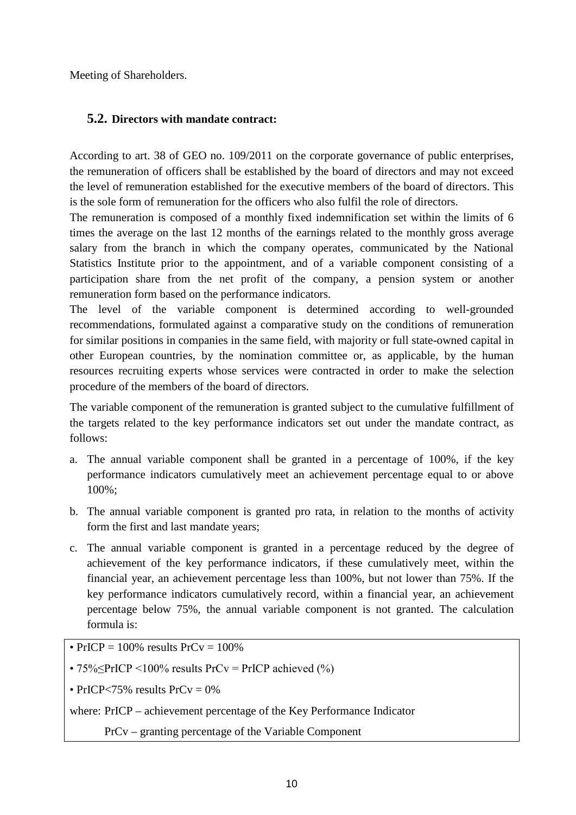Meeting of Shareholders.

#### <span id="page-10-0"></span>**5.2. Directors with mandate contract:**

According to art. 38 of GEO no. 109/2011 on the corporate governance of public enterprises, the remuneration of officers shall be established by the board of directors and may not exceed the level of remuneration established for the executive members of the board of directors. This is the sole form of remuneration for the officers who also fulfil the role of directors.

The remuneration is composed of a monthly fixed indemnification set within the limits of 6 times the average on the last 12 months of the earnings related to the monthly gross average salary from the branch in which the company operates, communicated by the National Statistics Institute prior to the appointment, and of a variable component consisting of a participation share from the net profit of the company, a pension system or another remuneration form based on the performance indicators.

The level of the variable component is determined according to well-grounded recommendations, formulated against a comparative study on the conditions of remuneration for similar positions in companies in the same field, with majority or full state-owned capital in other European countries, by the nomination committee or, as applicable, by the human resources recruiting experts whose services were contracted in order to make the selection procedure of the members of the board of directors.

The variable component of the remuneration is granted subject to the cumulative fulfillment of the targets related to the key performance indicators set out under the mandate contract, as follows:

- a. The annual variable component shall be granted in a percentage of 100%, if the key performance indicators cumulatively meet an achievement percentage equal to or above 100%;
- b. The annual variable component is granted pro rata, in relation to the months of activity form the first and last mandate years;
- c. The annual variable component is granted in a percentage reduced by the degree of achievement of the key performance indicators, if these cumulatively meet, within the financial year, an achievement percentage less than 100%, but not lower than 75%. If the key performance indicators cumulatively record, within a financial year, an achievement percentage below 75%, the annual variable component is not granted. The calculation formula is:
- PrICP =  $100\%$  results PrCy =  $100\%$
- 75% $\leq$ PrICP <100% results PrCv = PrICP achieved (%)
- PrICP $<$ 75% results PrCv = 0%

where: PrICP – achievement percentage of the Key Performance Indicator

PrCv – granting percentage of the Variable Component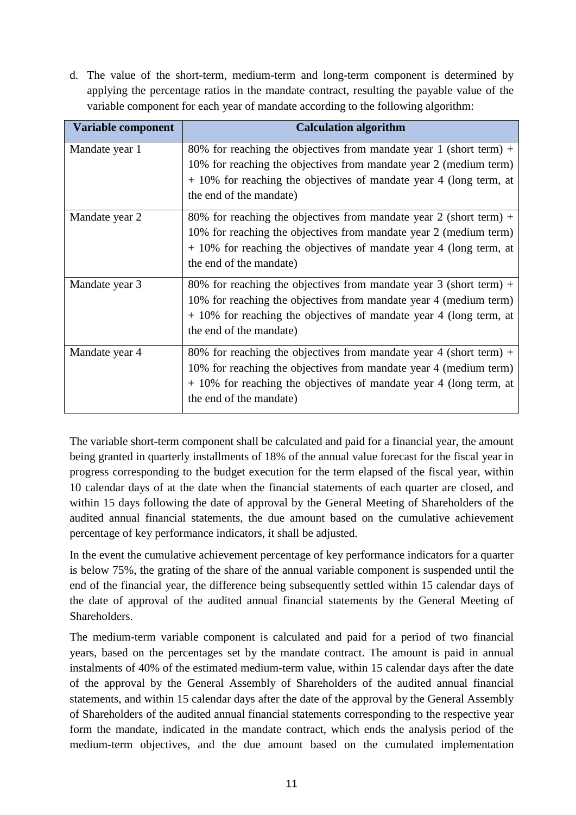d. The value of the short-term, medium-term and long-term component is determined by applying the percentage ratios in the mandate contract, resulting the payable value of the variable component for each year of mandate according to the following algorithm:

| Variable component | <b>Calculation algorithm</b>                                                                                                                                                                                                               |
|--------------------|--------------------------------------------------------------------------------------------------------------------------------------------------------------------------------------------------------------------------------------------|
| Mandate year 1     | 80% for reaching the objectives from mandate year 1 (short term) +<br>10% for reaching the objectives from mandate year 2 (medium term)<br>$+10\%$ for reaching the objectives of mandate year 4 (long term, at<br>the end of the mandate) |
| Mandate year 2     | 80% for reaching the objectives from mandate year 2 (short term) +<br>10% for reaching the objectives from mandate year 2 (medium term)<br>$+10\%$ for reaching the objectives of mandate year 4 (long term, at<br>the end of the mandate) |
| Mandate year 3     | 80% for reaching the objectives from mandate year 3 (short term) +<br>10% for reaching the objectives from mandate year 4 (medium term)<br>$+10\%$ for reaching the objectives of mandate year 4 (long term, at<br>the end of the mandate) |
| Mandate year 4     | 80% for reaching the objectives from mandate year 4 (short term) +<br>10% for reaching the objectives from mandate year 4 (medium term)<br>$+10\%$ for reaching the objectives of mandate year 4 (long term, at<br>the end of the mandate) |

The variable short-term component shall be calculated and paid for a financial year, the amount being granted in quarterly installments of 18% of the annual value forecast for the fiscal year in progress corresponding to the budget execution for the term elapsed of the fiscal year, within 10 calendar days of at the date when the financial statements of each quarter are closed, and within 15 days following the date of approval by the General Meeting of Shareholders of the audited annual financial statements, the due amount based on the cumulative achievement percentage of key performance indicators, it shall be adjusted.

In the event the cumulative achievement percentage of key performance indicators for a quarter is below 75%, the grating of the share of the annual variable component is suspended until the end of the financial year, the difference being subsequently settled within 15 calendar days of the date of approval of the audited annual financial statements by the General Meeting of Shareholders.

The medium-term variable component is calculated and paid for a period of two financial years, based on the percentages set by the mandate contract. The amount is paid in annual instalments of 40% of the estimated medium-term value, within 15 calendar days after the date of the approval by the General Assembly of Shareholders of the audited annual financial statements, and within 15 calendar days after the date of the approval by the General Assembly of Shareholders of the audited annual financial statements corresponding to the respective year form the mandate, indicated in the mandate contract, which ends the analysis period of the medium-term objectives, and the due amount based on the cumulated implementation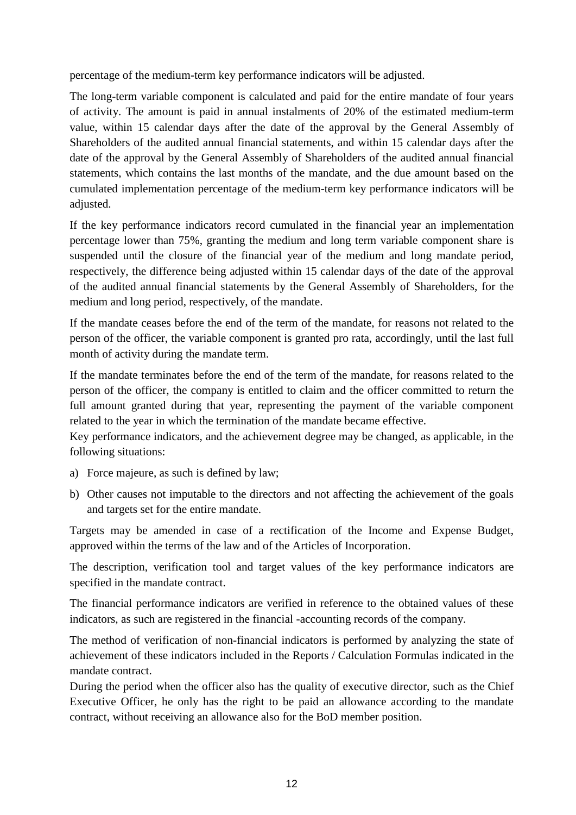percentage of the medium-term key performance indicators will be adjusted.

The long-term variable component is calculated and paid for the entire mandate of four years of activity. The amount is paid in annual instalments of 20% of the estimated medium-term value, within 15 calendar days after the date of the approval by the General Assembly of Shareholders of the audited annual financial statements, and within 15 calendar days after the date of the approval by the General Assembly of Shareholders of the audited annual financial statements, which contains the last months of the mandate, and the due amount based on the cumulated implementation percentage of the medium-term key performance indicators will be adjusted.

If the key performance indicators record cumulated in the financial year an implementation percentage lower than 75%, granting the medium and long term variable component share is suspended until the closure of the financial year of the medium and long mandate period, respectively, the difference being adjusted within 15 calendar days of the date of the approval of the audited annual financial statements by the General Assembly of Shareholders, for the medium and long period, respectively, of the mandate.

If the mandate ceases before the end of the term of the mandate, for reasons not related to the person of the officer, the variable component is granted pro rata, accordingly, until the last full month of activity during the mandate term.

If the mandate terminates before the end of the term of the mandate, for reasons related to the person of the officer, the company is entitled to claim and the officer committed to return the full amount granted during that year, representing the payment of the variable component related to the year in which the termination of the mandate became effective.

Key performance indicators, and the achievement degree may be changed, as applicable, in the following situations:

- a) Force majeure, as such is defined by law;
- b) Other causes not imputable to the directors and not affecting the achievement of the goals and targets set for the entire mandate.

Targets may be amended in case of a rectification of the Income and Expense Budget, approved within the terms of the law and of the Articles of Incorporation.

The description, verification tool and target values of the key performance indicators are specified in the mandate contract.

The financial performance indicators are verified in reference to the obtained values of these indicators, as such are registered in the financial -accounting records of the company.

The method of verification of non-financial indicators is performed by analyzing the state of achievement of these indicators included in the Reports / Calculation Formulas indicated in the mandate contract.

During the period when the officer also has the quality of executive director, such as the Chief Executive Officer, he only has the right to be paid an allowance according to the mandate contract, without receiving an allowance also for the BoD member position.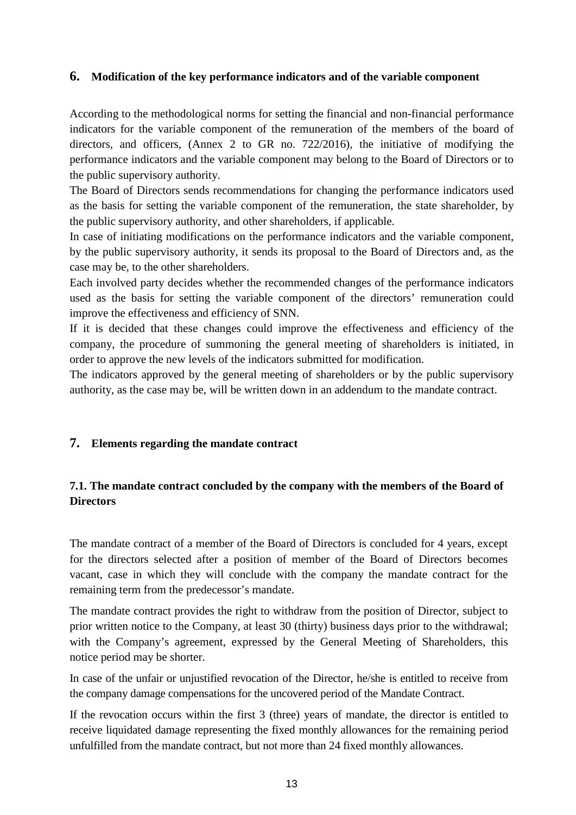#### <span id="page-13-0"></span>**6. Modification of the key performance indicators and of the variable component**

According to the methodological norms for setting the financial and non-financial performance indicators for the variable component of the remuneration of the members of the board of directors, and officers, (Annex 2 to GR no. 722/2016), the initiative of modifying the performance indicators and the variable component may belong to the Board of Directors or to the public supervisory authority.

The Board of Directors sends recommendations for changing the performance indicators used as the basis for setting the variable component of the remuneration, the state shareholder, by the public supervisory authority, and other shareholders, if applicable.

In case of initiating modifications on the performance indicators and the variable component, by the public supervisory authority, it sends its proposal to the Board of Directors and, as the case may be, to the other shareholders.

Each involved party decides whether the recommended changes of the performance indicators used as the basis for setting the variable component of the directors' remuneration could improve the effectiveness and efficiency of SNN.

If it is decided that these changes could improve the effectiveness and efficiency of the company, the procedure of summoning the general meeting of shareholders is initiated, in order to approve the new levels of the indicators submitted for modification.

The indicators approved by the general meeting of shareholders or by the public supervisory authority, as the case may be, will be written down in an addendum to the mandate contract.

#### <span id="page-13-1"></span>**7. Elements regarding the mandate contract**

### <span id="page-13-2"></span>**7.1. The mandate contract concluded by the company with the members of the Board of Directors**

The mandate contract of a member of the Board of Directors is concluded for 4 years, except for the directors selected after a position of member of the Board of Directors becomes vacant, case in which they will conclude with the company the mandate contract for the remaining term from the predecessor's mandate.

The mandate contract provides the right to withdraw from the position of Director, subject to prior written notice to the Company, at least 30 (thirty) business days prior to the withdrawal; with the Company's agreement, expressed by the General Meeting of Shareholders, this notice period may be shorter.

In case of the unfair or unjustified revocation of the Director, he/she is entitled to receive from the company damage compensations for the uncovered period of the Mandate Contract.

If the revocation occurs within the first 3 (three) years of mandate, the director is entitled to receive liquidated damage representing the fixed monthly allowances for the remaining period unfulfilled from the mandate contract, but not more than 24 fixed monthly allowances.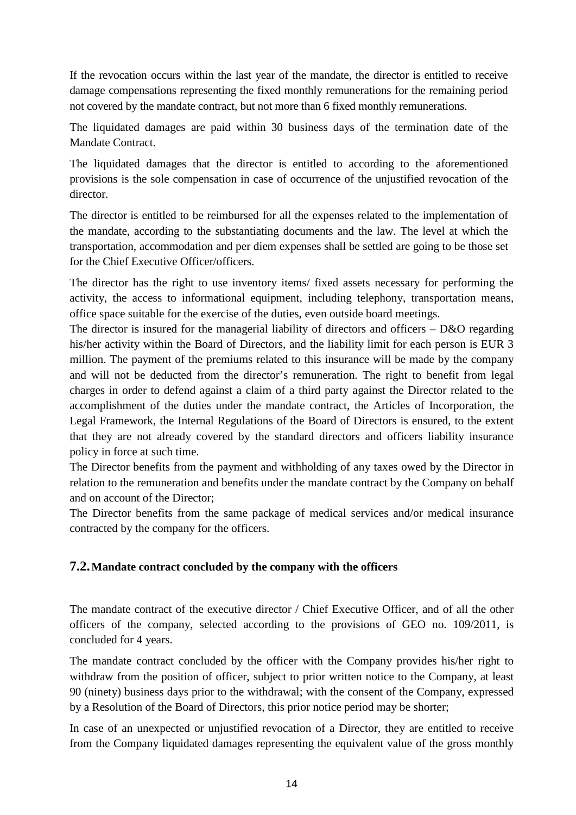If the revocation occurs within the last year of the mandate, the director is entitled to receive damage compensations representing the fixed monthly remunerations for the remaining period not covered by the mandate contract, but not more than 6 fixed monthly remunerations.

The liquidated damages are paid within 30 business days of the termination date of the Mandate Contract.

The liquidated damages that the director is entitled to according to the aforementioned provisions is the sole compensation in case of occurrence of the unjustified revocation of the director.

The director is entitled to be reimbursed for all the expenses related to the implementation of the mandate, according to the substantiating documents and the law. The level at which the transportation, accommodation and per diem expenses shall be settled are going to be those set for the Chief Executive Officer/officers.

The director has the right to use inventory items/ fixed assets necessary for performing the activity, the access to informational equipment, including telephony, transportation means, office space suitable for the exercise of the duties, even outside board meetings.

The director is insured for the managerial liability of directors and officers – D&O regarding his/her activity within the Board of Directors, and the liability limit for each person is EUR 3 million. The payment of the premiums related to this insurance will be made by the company and will not be deducted from the director's remuneration. The right to benefit from legal charges in order to defend against a claim of a third party against the Director related to the accomplishment of the duties under the mandate contract, the Articles of Incorporation, the Legal Framework, the Internal Regulations of the Board of Directors is ensured, to the extent that they are not already covered by the standard directors and officers liability insurance policy in force at such time.

The Director benefits from the payment and withholding of any taxes owed by the Director in relation to the remuneration and benefits under the mandate contract by the Company on behalf and on account of the Director;

The Director benefits from the same package of medical services and/or medical insurance contracted by the company for the officers.

#### <span id="page-14-0"></span>**7.2.Mandate contract concluded by the company with the officers**

The mandate contract of the executive director / Chief Executive Officer, and of all the other officers of the company, selected according to the provisions of GEO no. 109/2011, is concluded for 4 years.

The mandate contract concluded by the officer with the Company provides his/her right to withdraw from the position of officer, subject to prior written notice to the Company, at least 90 (ninety) business days prior to the withdrawal; with the consent of the Company, expressed by a Resolution of the Board of Directors, this prior notice period may be shorter;

In case of an unexpected or unjustified revocation of a Director, they are entitled to receive from the Company liquidated damages representing the equivalent value of the gross monthly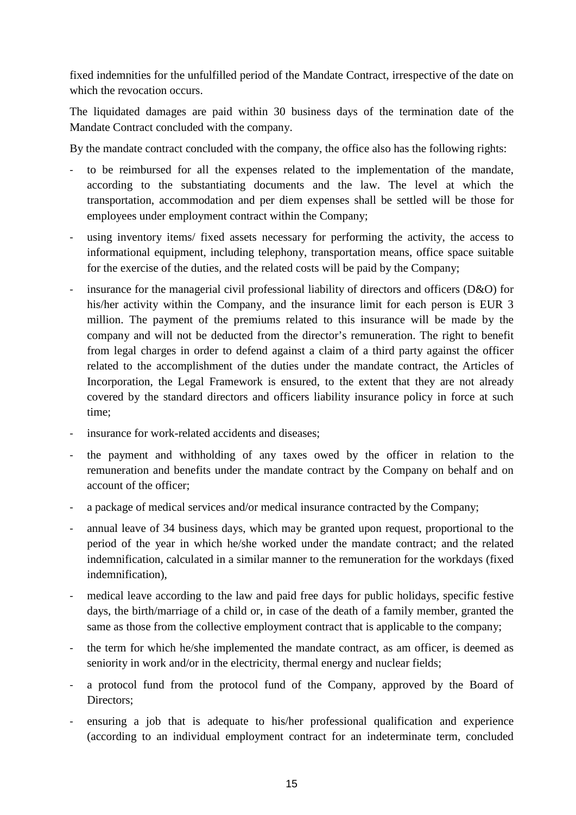fixed indemnities for the unfulfilled period of the Mandate Contract, irrespective of the date on which the revocation occurs.

The liquidated damages are paid within 30 business days of the termination date of the Mandate Contract concluded with the company.

By the mandate contract concluded with the company, the office also has the following rights:

- to be reimbursed for all the expenses related to the implementation of the mandate, according to the substantiating documents and the law. The level at which the transportation, accommodation and per diem expenses shall be settled will be those for employees under employment contract within the Company;
- using inventory items/ fixed assets necessary for performing the activity, the access to informational equipment, including telephony, transportation means, office space suitable for the exercise of the duties, and the related costs will be paid by the Company;
- insurance for the managerial civil professional liability of directors and officers (D&O) for his/her activity within the Company, and the insurance limit for each person is EUR 3 million. The payment of the premiums related to this insurance will be made by the company and will not be deducted from the director's remuneration. The right to benefit from legal charges in order to defend against a claim of a third party against the officer related to the accomplishment of the duties under the mandate contract, the Articles of Incorporation, the Legal Framework is ensured, to the extent that they are not already covered by the standard directors and officers liability insurance policy in force at such time;
- insurance for work-related accidents and diseases;
- the payment and withholding of any taxes owed by the officer in relation to the remuneration and benefits under the mandate contract by the Company on behalf and on account of the officer;
- a package of medical services and/or medical insurance contracted by the Company;
- annual leave of 34 business days, which may be granted upon request, proportional to the period of the year in which he/she worked under the mandate contract; and the related indemnification, calculated in a similar manner to the remuneration for the workdays (fixed indemnification),
- medical leave according to the law and paid free days for public holidays, specific festive days, the birth/marriage of a child or, in case of the death of a family member, granted the same as those from the collective employment contract that is applicable to the company;
- the term for which he/she implemented the mandate contract, as am officer, is deemed as seniority in work and/or in the electricity, thermal energy and nuclear fields;
- a protocol fund from the protocol fund of the Company, approved by the Board of Directors;
- ensuring a job that is adequate to his/her professional qualification and experience (according to an individual employment contract for an indeterminate term, concluded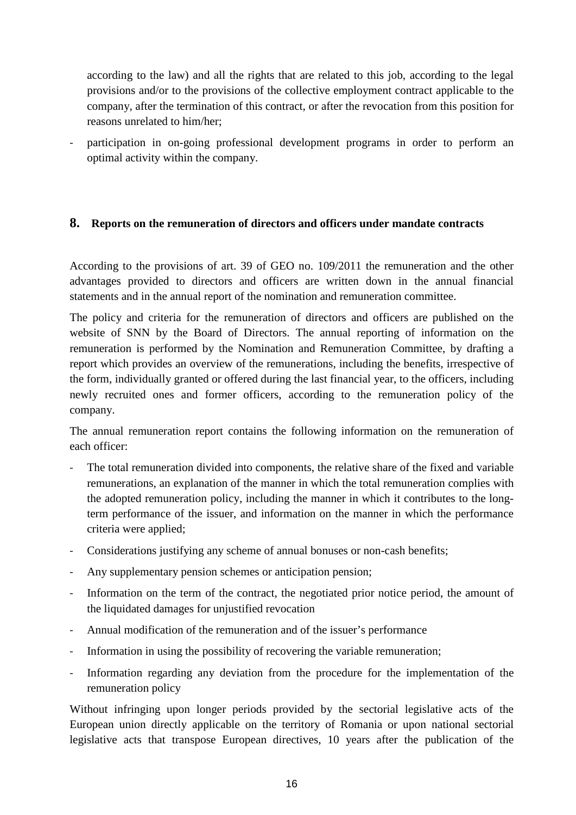according to the law) and all the rights that are related to this job, according to the legal provisions and/or to the provisions of the collective employment contract applicable to the company, after the termination of this contract, or after the revocation from this position for reasons unrelated to him/her;

participation in on-going professional development programs in order to perform an optimal activity within the company.

#### <span id="page-16-0"></span>**8. Reports on the remuneration of directors and officers under mandate contracts**

According to the provisions of art. 39 of GEO no. 109/2011 the remuneration and the other advantages provided to directors and officers are written down in the annual financial statements and in the annual report of the nomination and remuneration committee.

The policy and criteria for the remuneration of directors and officers are published on the website of SNN by the Board of Directors. The annual reporting of information on the remuneration is performed by the Nomination and Remuneration Committee, by drafting a report which provides an overview of the remunerations, including the benefits, irrespective of the form, individually granted or offered during the last financial year, to the officers, including newly recruited ones and former officers, according to the remuneration policy of the company.

The annual remuneration report contains the following information on the remuneration of each officer:

- The total remuneration divided into components, the relative share of the fixed and variable remunerations, an explanation of the manner in which the total remuneration complies with the adopted remuneration policy, including the manner in which it contributes to the longterm performance of the issuer, and information on the manner in which the performance criteria were applied;
- Considerations justifying any scheme of annual bonuses or non-cash benefits;
- Any supplementary pension schemes or anticipation pension;
- Information on the term of the contract, the negotiated prior notice period, the amount of the liquidated damages for unjustified revocation
- Annual modification of the remuneration and of the issuer's performance
- Information in using the possibility of recovering the variable remuneration;
- Information regarding any deviation from the procedure for the implementation of the remuneration policy

Without infringing upon longer periods provided by the sectorial legislative acts of the European union directly applicable on the territory of Romania or upon national sectorial legislative acts that transpose European directives, 10 years after the publication of the